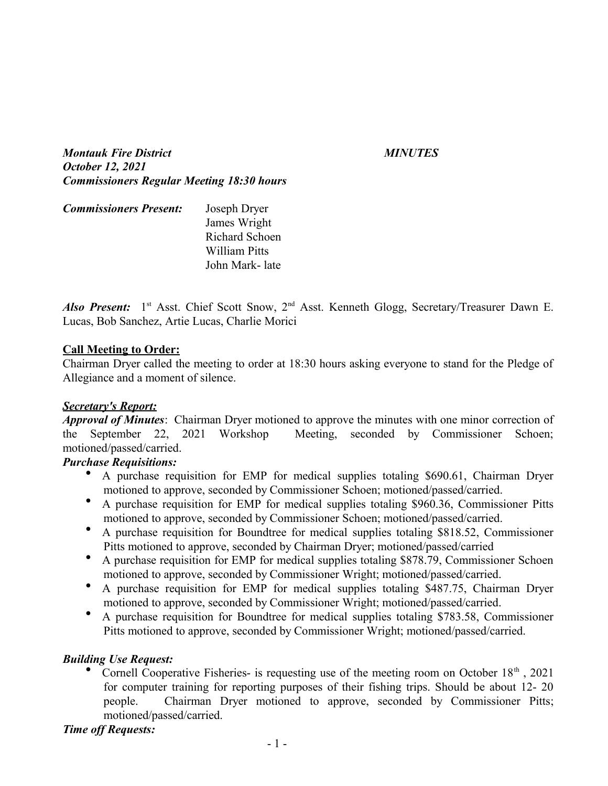*Montauk Fire District MINUTES October 12, 2021 Commissioners Regular Meeting 18:30 hours*

| <b>Commissioners Present:</b> | Joseph Dryer          |
|-------------------------------|-----------------------|
|                               | James Wright          |
|                               | <b>Richard Schoen</b> |
|                               | William Pitts         |
|                               | John Mark-late        |

Also Present: 1<sup>st</sup> Asst. Chief Scott Snow, 2<sup>nd</sup> Asst. Kenneth Glogg, Secretary/Treasurer Dawn E. Lucas, Bob Sanchez, Artie Lucas, Charlie Morici

#### **Call Meeting to Order:**

Chairman Dryer called the meeting to order at 18:30 hours asking everyone to stand for the Pledge of Allegiance and a moment of silence.

#### *Secretary's Report:*

*Approval of Minutes*: Chairman Dryer motioned to approve the minutes with one minor correction of the September 22, 2021 Workshop Meeting, seconded by Commissioner Schoen; motioned/passed/carried.

#### *Purchase Requisitions:*

- A purchase requisition for EMP for medical supplies totaling \$690.61, Chairman Dryer motioned to approve, seconded by Commissioner Schoen; motioned/passed/carried.
- A purchase requisition for EMP for medical supplies totaling \$960.36, Commissioner Pitts motioned to approve, seconded by Commissioner Schoen; motioned/passed/carried.
- A purchase requisition for Boundtree for medical supplies totaling \$818.52, Commissioner Pitts motioned to approve, seconded by Chairman Dryer; motioned/passed/carried
- A purchase requisition for EMP for medical supplies totaling \$878.79, Commissioner Schoen motioned to approve, seconded by Commissioner Wright; motioned/passed/carried.
- A purchase requisition for EMP for medical supplies totaling \$487.75, Chairman Dryer motioned to approve, seconded by Commissioner Wright; motioned/passed/carried.
- A purchase requisition for Boundtree for medical supplies totaling \$783.58, Commissioner Pitts motioned to approve, seconded by Commissioner Wright; motioned/passed/carried.

#### *Building Use Request:*

• Cornell Cooperative Fisheries- is requesting use of the meeting room on October  $18<sup>th</sup>$ , 2021 for computer training for reporting purposes of their fishing trips. Should be about 12- 20 people. Chairman Dryer motioned to approve, seconded by Commissioner Pitts; motioned/passed/carried.

#### *Time off Requests:*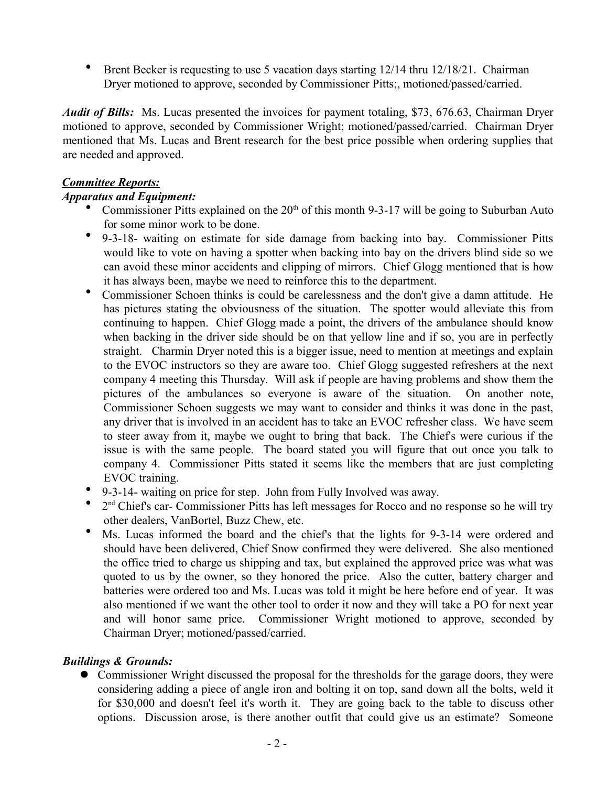Brent Becker is requesting to use 5 vacation days starting 12/14 thru 12/18/21. Chairman Dryer motioned to approve, seconded by Commissioner Pitts;, motioned/passed/carried.

*Audit of Bills:* Ms. Lucas presented the invoices for payment totaling, \$73, 676.63, Chairman Dryer motioned to approve, seconded by Commissioner Wright; motioned/passed/carried. Chairman Dryer mentioned that Ms. Lucas and Brent research for the best price possible when ordering supplies that are needed and approved.

# *Committee Reports:*

# *Apparatus and Equipment:*

- Commissioner Pitts explained on the  $20<sup>th</sup>$  of this month 9-3-17 will be going to Suburban Auto for some minor work to be done.
- 9-3-18- waiting on estimate for side damage from backing into bay. Commissioner Pitts would like to vote on having a spotter when backing into bay on the drivers blind side so we can avoid these minor accidents and clipping of mirrors. Chief Glogg mentioned that is how it has always been, maybe we need to reinforce this to the department.
- Commissioner Schoen thinks is could be carelessness and the don't give a damn attitude. He has pictures stating the obviousness of the situation. The spotter would alleviate this from continuing to happen. Chief Glogg made a point, the drivers of the ambulance should know when backing in the driver side should be on that yellow line and if so, you are in perfectly straight. Charmin Dryer noted this is a bigger issue, need to mention at meetings and explain to the EVOC instructors so they are aware too. Chief Glogg suggested refreshers at the next company 4 meeting this Thursday. Will ask if people are having problems and show them the pictures of the ambulances so everyone is aware of the situation. On another note, Commissioner Schoen suggests we may want to consider and thinks it was done in the past, any driver that is involved in an accident has to take an EVOC refresher class. We have seem to steer away from it, maybe we ought to bring that back. The Chief's were curious if the issue is with the same people. The board stated you will figure that out once you talk to company 4. Commissioner Pitts stated it seems like the members that are just completing EVOC training.
- 9-3-14- waiting on price for step. John from Fully Involved was away.
- 2<sup>nd</sup> Chief's car- Commissioner Pitts has left messages for Rocco and no response so he will try other dealers, VanBortel, Buzz Chew, etc.
- Ms. Lucas informed the board and the chief's that the lights for 9-3-14 were ordered and should have been delivered, Chief Snow confirmed they were delivered. She also mentioned the office tried to charge us shipping and tax, but explained the approved price was what was quoted to us by the owner, so they honored the price. Also the cutter, battery charger and batteries were ordered too and Ms. Lucas was told it might be here before end of year. It was also mentioned if we want the other tool to order it now and they will take a PO for next year and will honor same price. Commissioner Wright motioned to approve, seconded by Chairman Dryer; motioned/passed/carried.

# *Buildings & Grounds:*

 Commissioner Wright discussed the proposal for the thresholds for the garage doors, they were considering adding a piece of angle iron and bolting it on top, sand down all the bolts, weld it for \$30,000 and doesn't feel it's worth it. They are going back to the table to discuss other options. Discussion arose, is there another outfit that could give us an estimate? Someone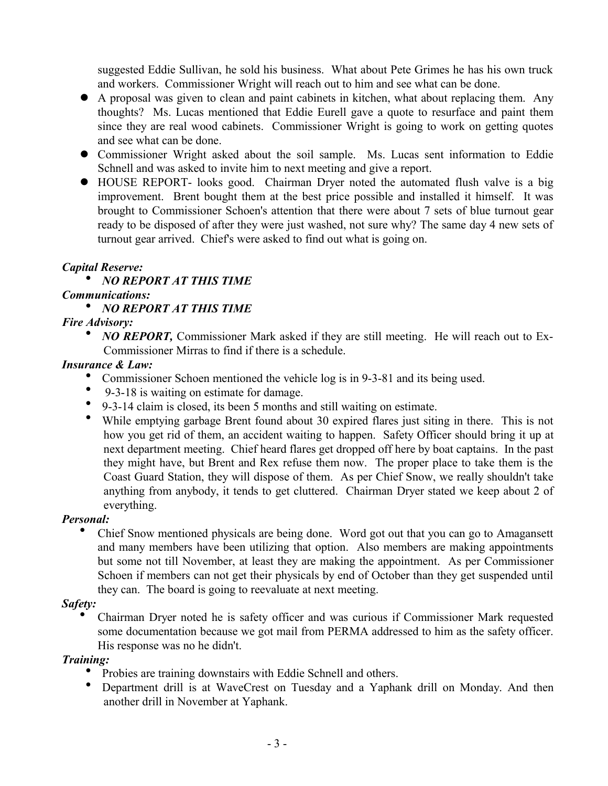suggested Eddie Sullivan, he sold his business. What about Pete Grimes he has his own truck and workers. Commissioner Wright will reach out to him and see what can be done.

- A proposal was given to clean and paint cabinets in kitchen, what about replacing them. Any thoughts? Ms. Lucas mentioned that Eddie Eurell gave a quote to resurface and paint them since they are real wood cabinets. Commissioner Wright is going to work on getting quotes and see what can be done.
- Commissioner Wright asked about the soil sample. Ms. Lucas sent information to Eddie Schnell and was asked to invite him to next meeting and give a report.
- HOUSE REPORT- looks good. Chairman Dryer noted the automated flush valve is a big improvement. Brent bought them at the best price possible and installed it himself. It was brought to Commissioner Schoen's attention that there were about 7 sets of blue turnout gear ready to be disposed of after they were just washed, not sure why? The same day 4 new sets of turnout gear arrived. Chief's were asked to find out what is going on.

#### *Capital Reserve:*

# *NO REPORT AT THIS TIME*

# *Communications:*

# *NO REPORT AT THIS TIME*

# *Fire Advisory:*

• *NO REPORT*, Commissioner Mark asked if they are still meeting. He will reach out to Ex-Commissioner Mirras to find if there is a schedule.

# *Insurance & Law:*

- Commissioner Schoen mentioned the vehicle log is in 9-3-81 and its being used.
- 9-3-18 is waiting on estimate for damage.
- 9-3-14 claim is closed, its been 5 months and still waiting on estimate.
- While emptying garbage Brent found about 30 expired flares just siting in there. This is not how you get rid of them, an accident waiting to happen. Safety Officer should bring it up at next department meeting. Chief heard flares get dropped off here by boat captains. In the past they might have, but Brent and Rex refuse them now. The proper place to take them is the Coast Guard Station, they will dispose of them. As per Chief Snow, we really shouldn't take anything from anybody, it tends to get cluttered. Chairman Dryer stated we keep about 2 of everything.

# *Personal:*

 Chief Snow mentioned physicals are being done. Word got out that you can go to Amagansett and many members have been utilizing that option. Also members are making appointments but some not till November, at least they are making the appointment. As per Commissioner Schoen if members can not get their physicals by end of October than they get suspended until they can. The board is going to reevaluate at next meeting.

#### *Safety:*

 Chairman Dryer noted he is safety officer and was curious if Commissioner Mark requested some documentation because we got mail from PERMA addressed to him as the safety officer. His response was no he didn't.

#### *Training:*

- Probies are training downstairs with Eddie Schnell and others.
- Department drill is at WaveCrest on Tuesday and a Yaphank drill on Monday. And then another drill in November at Yaphank.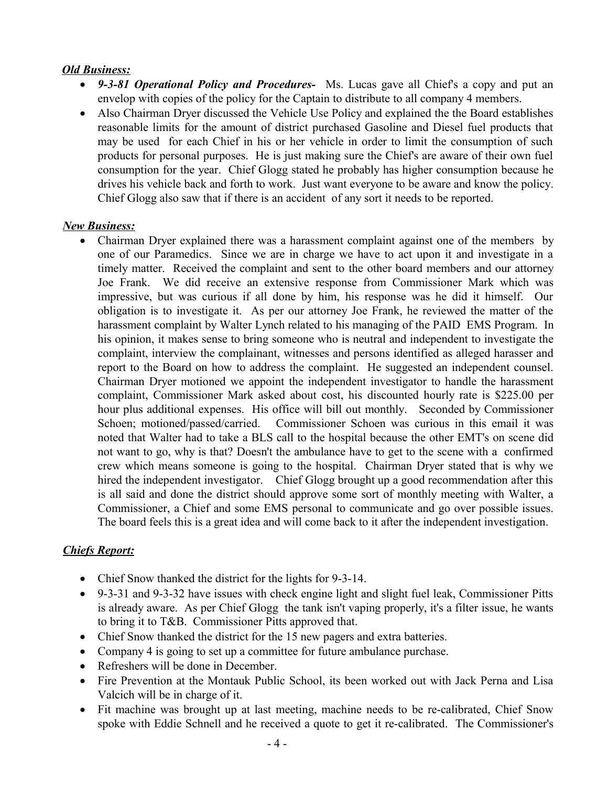### *Old Business:*

- *9-3-81 Operational Policy and Procedures-* Ms. Lucas gave all Chief's a copy and put an envelop with copies of the policy for the Captain to distribute to all company 4 members.
- Also Chairman Dryer discussed the Vehicle Use Policy and explained the the Board establishes reasonable limits for the amount of district purchased Gasoline and Diesel fuel products that may be used for each Chief in his or her vehicle in order to limit the consumption of such products for personal purposes. He is just making sure the Chief's are aware of their own fuel consumption for the year. Chief Glogg stated he probably has higher consumption because he drives his vehicle back and forth to work. Just want everyone to be aware and know the policy. Chief Glogg also saw that if there is an accident of any sort it needs to be reported.

#### *New Business:*

• Chairman Dryer explained there was a harassment complaint against one of the members by one of our Paramedics. Since we are in charge we have to act upon it and investigate in a timely matter. Received the complaint and sent to the other board members and our attorney Joe Frank. We did receive an extensive response from Commissioner Mark which was impressive, but was curious if all done by him, his response was he did it himself. Our obligation is to investigate it. As per our attorney Joe Frank, he reviewed the matter of the harassment complaint by Walter Lynch related to his managing of the PAID EMS Program. In his opinion, it makes sense to bring someone who is neutral and independent to investigate the complaint, interview the complainant, witnesses and persons identified as alleged harasser and report to the Board on how to address the complaint. He suggested an independent counsel. Chairman Dryer motioned we appoint the independent investigator to handle the harassment complaint, Commissioner Mark asked about cost, his discounted hourly rate is \$225.00 per hour plus additional expenses. His office will bill out monthly. Seconded by Commissioner Schoen; motioned/passed/carried. Commissioner Schoen was curious in this email it was noted that Walter had to take a BLS call to the hospital because the other EMT's on scene did not want to go, why is that? Doesn't the ambulance have to get to the scene with a confirmed crew which means someone is going to the hospital. Chairman Dryer stated that is why we hired the independent investigator. Chief Glogg brought up a good recommendation after this is all said and done the district should approve some sort of monthly meeting with Walter, a Commissioner, a Chief and some EMS personal to communicate and go over possible issues. The board feels this is a great idea and will come back to it after the independent investigation.

# *Chiefs Report:*

- Chief Snow thanked the district for the lights for 9-3-14.
- 9-3-31 and 9-3-32 have issues with check engine light and slight fuel leak, Commissioner Pitts is already aware. As per Chief Glogg the tank isn't vaping properly, it's a filter issue, he wants to bring it to T&B. Commissioner Pitts approved that.
- Chief Snow thanked the district for the 15 new pagers and extra batteries.
- Company 4 is going to set up a committee for future ambulance purchase.
- Refreshers will be done in December.
- Fire Prevention at the Montauk Public School, its been worked out with Jack Perna and Lisa Valcich will be in charge of it.
- Fit machine was brought up at last meeting, machine needs to be re-calibrated, Chief Snow spoke with Eddie Schnell and he received a quote to get it re-calibrated. The Commissioner's